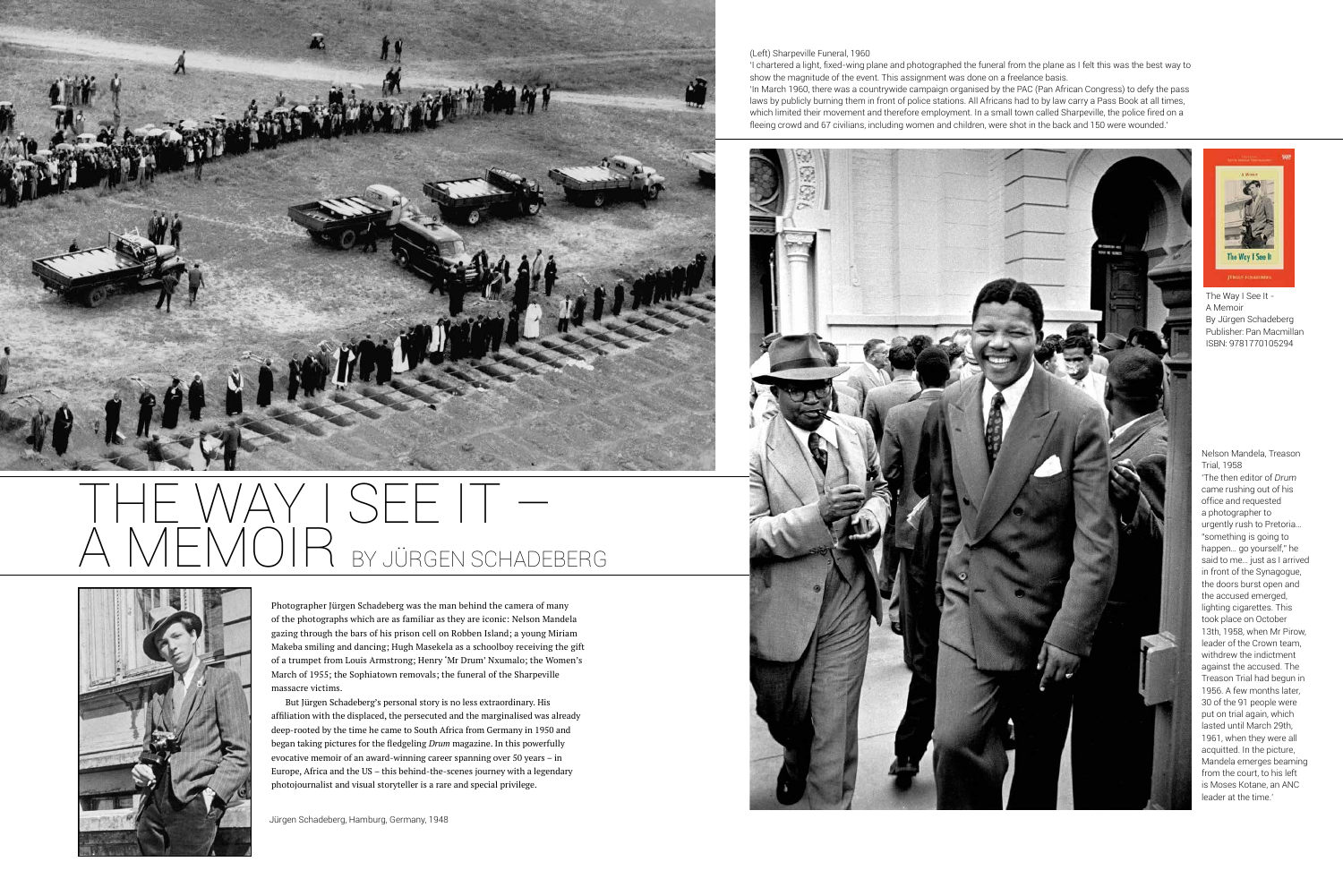(Left) Sharpeville Funeral, 1960



'I chartered a light, fixed-wing plane and photographed the funeral from the plane as I felt this was the best way to show the magnitude of the event. This assignment was done on a freelance basis.



## THE WAY I SEE IT – BY JÜRGEN SCHADEBERG



'In March 1960, there was a countrywide campaign organised by the PAC (Pan African Congress) to defy the pass laws by publicly burning them in front of police stations. All Africans had to by law carry a Pass Book at all times, which limited their movement and therefore employment. In a small town called Sharpeville, the police fired on a fleeing crowd and 67 civilians, including women and children, were shot in the back and 150 were wounded.'



Photographer Jürgen Schadeberg was the man behind the camera of many of the photographs which are as familiar as they are iconic: Nelson Mandela gazing through the bars of his prison cell on Robben Island; a young Miriam Makeba smiling and dancing; Hugh Masekela as a schoolboy receiving the gift of a trumpet from Louis Armstrong; Henry 'Mr Drum' Nxumalo; the Women's March of 1955; the Sophiatown removals; the funeral of the Sharpeville massacre victims.

But Jürgen Schadeberg's personal story is no less extraordinary. His affiliation with the displaced, the persecuted and the marginalised was already deep-rooted by the time he came to South Africa from Germany in 1950 and began taking pictures for the fledgeling *Drum* magazine. In this powerfully evocative memoir of an award-winning career spanning over 50 years – in Europe, Africa and the US – this behind-the-scenes journey with a legendary photojournalist and visual storyteller is a rare and special privilege.

Nelson Mandela, Treason Trial, 1958

'The then editor of *Drum* came rushing out of his office and requested a photographer to urgently rush to Pretoria… "something is going to happen… go yourself," he said to me… just as I arrived in front of the Synagogue, the doors burst open and the accused emerged, lighting cigarettes. This took place on October 13th, 1958, when Mr Pirow, leader of the Crown team, withdrew the indictment against the accused. The Treason Trial had begun in 1956. A few months later, 30 of the 91 people were put on trial again, which lasted until March 29th, 1961, when they were all acquitted. In the picture, Mandela emerges beaming from the court, to his left is Moses Kotane, an ANC leader at the time.'

Jürgen Schadeberg, Hamburg, Germany, 1948

The Way I See It - A Memoir By Jürgen Schadeberg Publisher: Pan Macmillan ISBN: 9781770105294